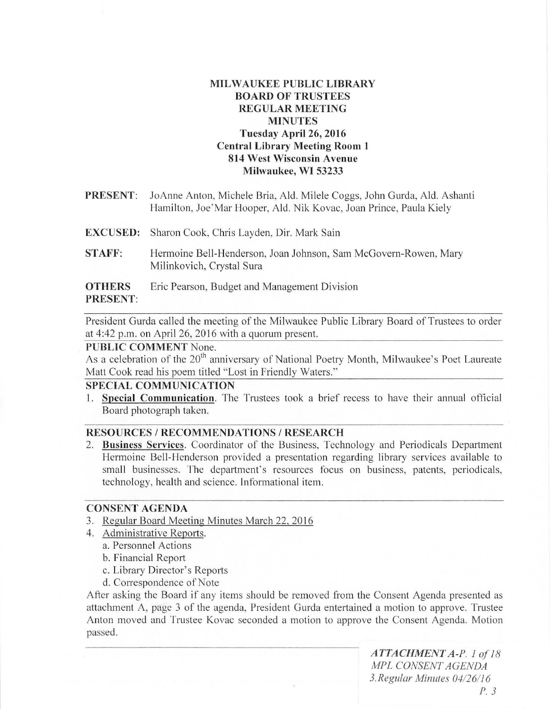# **MILWAUKEE PUBLIC LIBRARY BOARD OF TRUSTEES REGULAR MEETING MINUTES Tuesday April 26, 2016 Central Library Meeting Room 1 814 West Wisconsin Avenue Milwaukee, WI 53233**

- **PRESENT:** JoAnne Anton, Michele Bria, Ald. Milele Coggs, John Gurda, Ald. Ashanti Hamilton, Joe' Mar Hooper, Ald. Nik Kovac, Joan Prince, Paula Kiely
- **EXCUSED:** Sharon Cook, Chris Layden, Dir. Mark Sain
- **STAFF:** Hermoine Bell-Henderson, Joan Johnson, Sam McGovern-Rowen, Mary Milinkovich, Crystal Sura

## **OTHERS** Eric Pearson, Budget and Management Division **PRESENT:**

President Gurda called the meeting of the Milwaukee Public Library Board of Trustees to order at 4:42 p.m. on April 26, 2016 with a quorum present.

# **PUBLIC COMMENT** None.

As a celebration of the 20<sup>th</sup> anniversary of National Poetry Month, Milwaukee's Poet Laureate Matt Cook read his poem titled "Lost in Friendly Waters."

# **SPECIAL COMMUNICATION**

1. **Special Communication.** The Trustees took a brief recess to have their annual ofticial Board photograph taken.

## **RESOURCES / RECOMMENDATIONS / RESEARCH**

2. **Business Services.** Coordinator of the Business, Technology and Periodicals Department Hermoine Bell-Henderson provided a presentation regarding library services available to small businesses. The department's resources focus on business, patents, periodicals, technology, health and science. Informational item.

#### **CONSENT AGENDA**

- 3. Regular Board Meeting Minutes March 22, 2016
- 4. Administrative Reports.
	- a. Personnel Actions
	- b. Financial Report
	- c. Library Director's Reports
	- d. Correspondence of Note

After asking the Board if any items should be removed from the Consent Agenda presented as attachment A, page 3 of the agenda, President Gurda entertained a motion to approve. Trustee Anton moved and Trustee Kovac seconded a motion to approve the Consent Agenda. Motion passed.

> *ATTACHMENT A-P.* 1 *of 18 MPL CONSENT AGENDA*  3. *Regular Minules 04/26116 P*. 3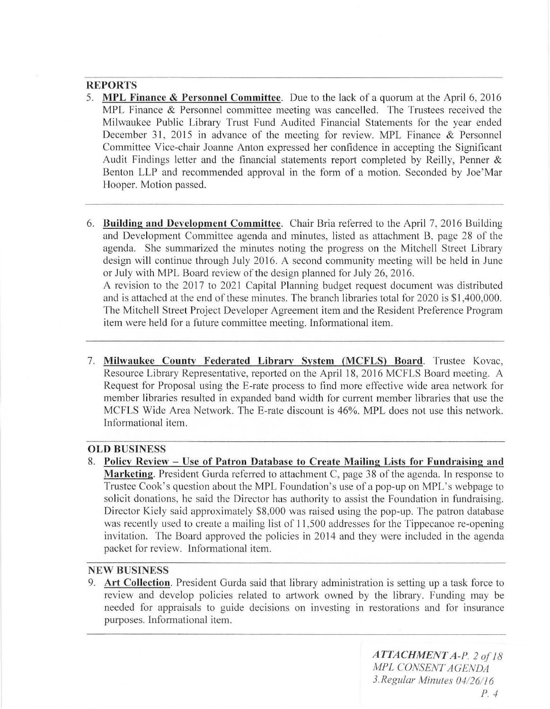# **REPORTS**

- 5. MPL Finance & Personnel Committee. Due to the lack of a quorum at the April 6, 2016 MPL Finance & Personnel committee meeting was cancelled. The Trustees received the Milwaukee Public Library Trust Fund Audited Financial Statements for the year ended December 31, 2015 in advance of the meeting for review. MPL Finance & Personnel Committee Vice-chair Joanne Anton expressed her confidence in accepting the Significant Audit Findings letter and the financial statements report completed by Reilly, Penner  $\&$ Benton LLP and recommended approval in the form of a motion. Seconded by Joe'Mar Hooper. Motion passed.
- 6. Building and Development Committee. Chair Bria referred to the April 7, 2016 Building and Development Committee agenda and minutes, listed as attachment B, page 28 of the agenda. She summarized the minutes noting the progress on the Mitchell Street Library design will continue through July 2016. A second community meeting will be held in June or July with MPL Board review of the design planned for July 26, 2016. A revision to the 2017 to 2021 Capital Planning budget request document was distributed and is attached at the end of these minutes. The branch libraries total for 2020 is \$1,400,000. The Mitchell Street Project Developer Agreement item and the Resident Preference Program

item were held for a future committee meeting. Informational item.

7. Milwaukee County Federated Library Svstem (MCFLS) Board. Trustee Kovac, Resource Library Representative, reported on the April 18, 2016 MCFLS Board meeting. A Request for Proposal using the E-rate process to find more effective wide area network for member libraries resulted in expanded band width for current member libraries that use the MCFLS Wide Area Network. The E-rate discount is 46%. MPL does not use this network. Informational item.

#### OLD BUSINESS

8. Policy Review - Use of Patron Database to Create Mailing Lists for Fundraising and Marketing. President Gurda referred to attachment C, page 38 of the agenda. In response to Trustee Cook's question about the MPL Foundation's use of a pop-up on MPL's webpage to solicit donations, he said the Director has authority to assist the Foundation in fundraising. Director Kiely said approximately \$8,000 was raised using the pop-up. The patron database was recently used to create a mailing list of 11,500 addresses for the Tippecanoe re-opening invitation. The Board approved the policies in 2014 and they were included in the agenda packet for review. Informational item.

## NEW BUSINESS

9. Art Collection. President Gurda said that library administration is setting up a task force to review and develop policies related to artwork owned by the library. Funding may be needed for appraisals to guide decisions on investing in restorations and for insurance purposes. Informational item.

> *ATTACHMENT A-P'* 2 *of 18 MPL CONSENT AGENDA 3. Regular Minules 041261/6 P*  $\cdot$  4